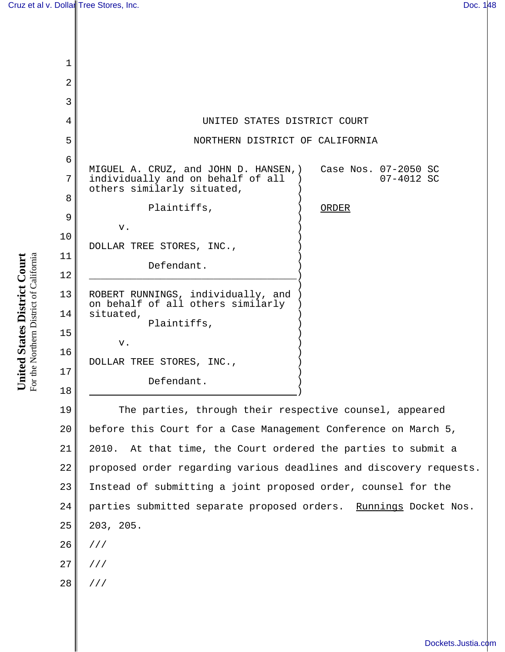| $\mathbf 1$    |                                                                            |                                    |
|----------------|----------------------------------------------------------------------------|------------------------------------|
| $\overline{2}$ |                                                                            |                                    |
| $\overline{3}$ |                                                                            |                                    |
| 4              | UNITED STATES DISTRICT COURT                                               |                                    |
| 5              | NORTHERN DISTRICT OF CALIFORNIA                                            |                                    |
| 6              |                                                                            |                                    |
| 7              | MIGUEL A. CRUZ, and JOHN D. HANSEN, )<br>individually and on behalf of all | Case Nos. 07-2050 SC<br>07-4012 SC |
| 8              | others similarly situated,<br>Plaintiffs,                                  |                                    |
| 9              |                                                                            | ORDER                              |
| 10             | $V$ .                                                                      |                                    |
|                | DOLLAR TREE STORES, INC.,                                                  |                                    |
| 11             | Defendant.                                                                 |                                    |
| 12             |                                                                            |                                    |
| 13             | ROBERT RUNNINGS, individually, and<br>on behalf of all others similarly    |                                    |
| 14             | situated,                                                                  |                                    |
| 15             | Plaintiffs,                                                                |                                    |
| 16             | v.                                                                         |                                    |
|                | DOLLAR TREE STORES, INC.,                                                  |                                    |
| 17             | Defendant.                                                                 |                                    |
| 18             |                                                                            |                                    |

19 20 21 22 23 24 25 26 27 The parties, through their respective counsel, appeared before this Court for a Case Management Conference on March 5, 2010. At that time, the Court ordered the parties to submit a proposed order regarding various deadlines and discovery requests. Instead of submitting a joint proposed order, counsel for the parties submitted separate proposed orders. Runnings Docket Nos. 203, 205. /// ///

United States District Court For the Northern District of California For the Northern District of California **United States District Court**

28

///